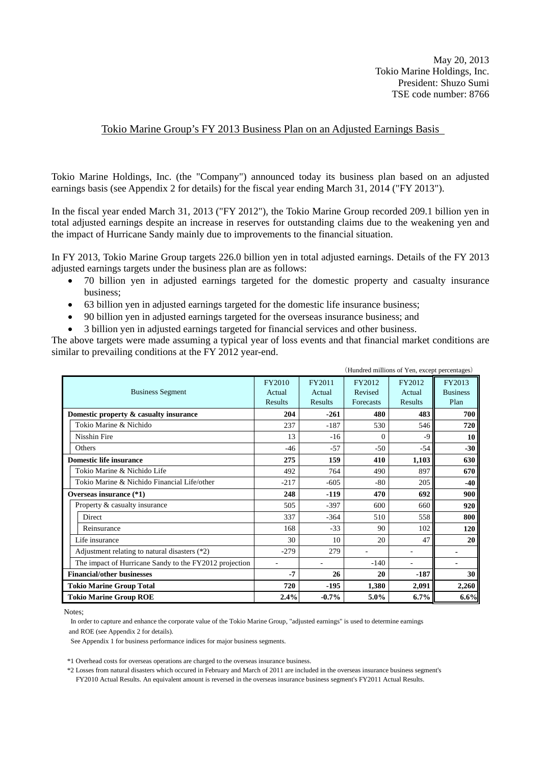May 20, 2013 Tokio Marine Holdings, Inc. President: Shuzo Sumi TSE code number: 8766

# Tokio Marine Group's FY 2013 Business Plan on an Adjusted Earnings Basis

Tokio Marine Holdings, Inc. (the "Company") announced today its business plan based on an adjusted earnings basis (see Appendix 2 for details) for the fiscal year ending March 31, 2014 ("FY 2013").

In the fiscal year ended March 31, 2013 ("FY 2012"), the Tokio Marine Group recorded 209.1 billion yen in total adjusted earnings despite an increase in reserves for outstanding claims due to the weakening yen and the impact of Hurricane Sandy mainly due to improvements to the financial situation.

In FY 2013, Tokio Marine Group targets 226.0 billion yen in total adjusted earnings. Details of the FY 2013 adjusted earnings targets under the business plan are as follows:

- 70 billion yen in adjusted earnings targeted for the domestic property and casualty insurance business;
- 63 billion yen in adjusted earnings targeted for the domestic life insurance business;
- 90 billion yen in adjusted earnings targeted for the overseas insurance business; and
- 3 billion yen in adjusted earnings targeted for financial services and other business.

The above targets were made assuming a typical year of loss events and that financial market conditions are similar to prevailing conditions at the FY 2012 year-end.

|                                                        |                          |          |           | (Hundred millions of Yen, except percentages) |                 |
|--------------------------------------------------------|--------------------------|----------|-----------|-----------------------------------------------|-----------------|
|                                                        | FY2010                   | FY2011   | FY2012    | FY2012                                        | FY2013          |
| <b>Business Segment</b>                                | Actual                   | Actual   | Revised   | Actual                                        | <b>Business</b> |
|                                                        | Results                  | Results  | Forecasts | Results                                       | Plan            |
| Domestic property & casualty insurance                 | 204                      | $-261$   | 480       | 483                                           | 700             |
| Tokio Marine & Nichido                                 | 237                      | $-187$   | 530       | 546                                           | 720             |
| Nisshin Fire                                           | 13                       | $-16$    | $\Omega$  | $-9$                                          | 10              |
| <b>Others</b>                                          | $-46$                    | $-57$    | $-50$     | $-54$                                         | $-30$           |
| <b>Domestic life insurance</b>                         | 275                      | 159      | 410       | 1,103                                         | 630             |
| Tokio Marine & Nichido Life                            | 492                      | 764      | 490       | 897                                           | 670             |
| Tokio Marine & Nichido Financial Life/other            | $-217$                   | $-605$   | $-80$     | 205                                           | $-40$           |
| Overseas insurance (*1)                                | 248                      | $-119$   | 470       | 692                                           | 900             |
| Property & casualty insurance                          | 505                      | $-397$   | 600       | 660                                           | 920             |
| <b>Direct</b>                                          | 337                      | $-364$   | 510       | 558                                           | 800             |
| Reinsurance                                            | 168                      | $-33$    | 90        | 102                                           | 120             |
| Life insurance                                         | 30                       | 10       | 20        | 47                                            | 20              |
| Adjustment relating to natural disasters (*2)          | $-279$                   | 279      |           |                                               |                 |
| The impact of Hurricane Sandy to the FY2012 projection | $\overline{\phantom{a}}$ |          | $-140$    | ÷,                                            |                 |
| <b>Financial/other businesses</b>                      | $-7$                     | 26       | 20        | $-187$                                        | 30              |
| <b>Tokio Marine Group Total</b>                        | 720                      | $-195$   | 1,380     | 2,091                                         | 2,260           |
| <b>Tokio Marine Group ROE</b>                          | 2.4%                     | $-0.7\%$ | 5.0%      | 6.7%                                          | 6.6%            |

Notes;

 In order to capture and enhance the corporate value of the Tokio Marine Group, "adjusted earnings" is used to determine earnings and ROE (see Appendix 2 for details).

See Appendix 1 for business performance indices for major business segments.

\*1 Overhead costs for overseas operations are charged to the overseas insurance business.

 \*2 Losses from natural disasters which occured in February and March of 2011 are included in the overseas insurance business segment's FY2010 Actual Results. An equivalent amount is reversed in the overseas insurance business segment's FY2011 Actual Results.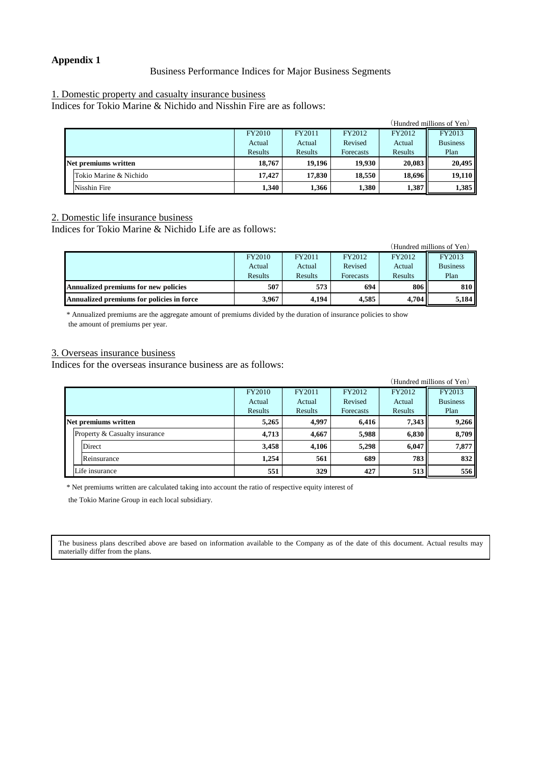# **Appendix 1**

### Business Performance Indices for Major Business Segments

### 1. Domestic property and casualty insurance business

Indices for Tokio Marine & Nichido and Nisshin Fire are as follows:

|                         |         |         |           |         | (Hundred millions of Yen) |
|-------------------------|---------|---------|-----------|---------|---------------------------|
|                         | FY2010  | FY2011  | FY2012    | FY2012  | FY2013                    |
|                         | Actual  | Actual  | Revised   | Actual  | <b>Business</b>           |
|                         | Results | Results | Forecasts | Results | Plan                      |
| Net premiums written    | 18.767  | 19.196  | 19.930    | 20.083  | 20,495                    |
| lTokio Marine & Nichido | 17.427  | 17.830  | 18.550    | 18.696  | 19,110                    |
| Nisshin Fire            | 1.340   | 1.366   | 1,380     | 1,387   | 1,385                     |

2. Domestic life insurance business

Indices for Tokio Marine & Nichido Life are as follows:

| (Hundred millions of Yen)                   |         |         |           |         |                 |
|---------------------------------------------|---------|---------|-----------|---------|-----------------|
|                                             | FY2010  | FY2011  | FY2012    | FY2012  | FY2013          |
|                                             | Actual  | Actual  | Revised   | Actual  | <b>Business</b> |
|                                             | Results | Results | Forecasts | Results | Plan            |
| <b>Annualized premiums for new policies</b> | 507     | 573     | 694       | 806     | 810             |
| Annualized premiums for policies in force   | 3.967   | 4,194   | 4.585     | 4.704   | 5,184           |

\* Annualized premiums are the aggregate amount of premiums divided by the duration of insurance policies to show the amount of premiums per year.

# 3. Overseas insurance business

Indices for the overseas insurance business are as follows:

|  |                               |               |         |           |         | (Hundred millions of Yen) |
|--|-------------------------------|---------------|---------|-----------|---------|---------------------------|
|  |                               | <b>FY2010</b> | FY2011  | FY2012    | FY2012  | FY2013                    |
|  |                               | Actual        | Actual  | Revised   | Actual  | <b>Business</b>           |
|  |                               | Results       | Results | Forecasts | Results | Plan                      |
|  | Net premiums written          | 5,265         | 4,997   | 6,416     | 7.343   | 9,266                     |
|  | Property & Casualty insurance | 4,713         | 4.667   | 5,988     | 6,830   | 8,709                     |
|  | Direct                        | 3,458         | 4,106   | 5,298     | 6,047   | 7,877                     |
|  | Reinsurance                   | 1.254         | 561     | 689       | 783     | 832                       |
|  | Life insurance                | 551           | 329     | 427       | 513     | 556                       |

\* Net premiums written are calculated taking into account the ratio of respective equity interest of

the Tokio Marine Group in each local subsidiary.

The business plans described above are based on information available to the Company as of the date of this document. Actual results may materially differ from the plans.